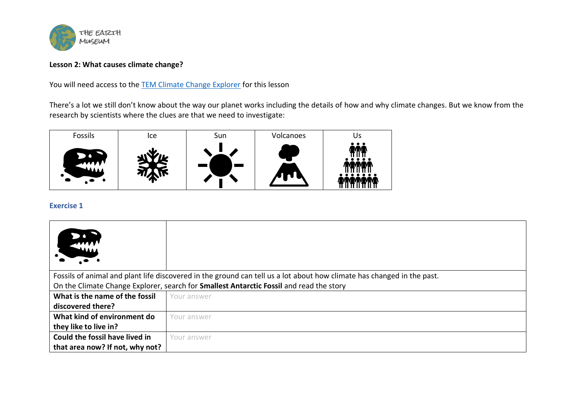

# **Lesson 2: What causes climate change?**

You will need access to the [TEM Climate Change Explorer](https://the-earth-museum.maps.arcgis.com/apps/webappviewer3d/index.html?id=f8ed1fc5f0c744e391a604154ecc988f) for this lesson

There's a lot we still don't know about the way our planet works including the details of how and why climate changes. But we know from the research by scientists where the clues are that we need to investigate:



# **Exercise 1**

| <b>MAAAA</b>                                                                                                           |             |  |
|------------------------------------------------------------------------------------------------------------------------|-------------|--|
| Fossils of animal and plant life discovered in the ground can tell us a lot about how climate has changed in the past. |             |  |
| On the Climate Change Explorer, search for Smallest Antarctic Fossil and read the story                                |             |  |
| What is the name of the fossil                                                                                         | Your answer |  |
| discovered there?                                                                                                      |             |  |
| What kind of environment do                                                                                            | Your answer |  |
| they like to live in?                                                                                                  |             |  |
| Could the fossil have lived in                                                                                         | Your answer |  |
| that area now? If not, why not?                                                                                        |             |  |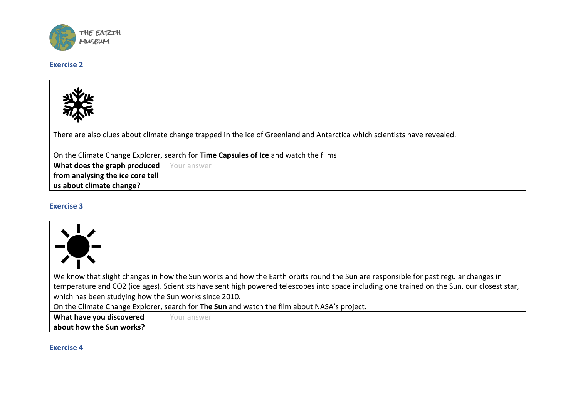

## **Exercise 2**

| 冰                                                                                                                        |             |  |
|--------------------------------------------------------------------------------------------------------------------------|-------------|--|
| There are also clues about climate change trapped in the ice of Greenland and Antarctica which scientists have revealed. |             |  |
|                                                                                                                          |             |  |
| On the Climate Change Explorer, search for Time Capsules of Ice and watch the films                                      |             |  |
| What does the graph produced                                                                                             | Your answer |  |
| from analysing the ice core tell                                                                                         |             |  |
| us about climate change?                                                                                                 |             |  |

### **Exercise 3**

| We know that slight changes in how the Sun works and how the Earth orbits round the Sun are responsible for past regular changes in<br>temperature and CO2 (ice ages). Scientists have sent high powered telescopes into space including one trained on the Sun, our closest star, |             |  |
|------------------------------------------------------------------------------------------------------------------------------------------------------------------------------------------------------------------------------------------------------------------------------------|-------------|--|
| which has been studying how the Sun works since 2010.<br>On the Climate Change Explorer, search for The Sun and watch the film about NASA's project.                                                                                                                               |             |  |
| What have you discovered                                                                                                                                                                                                                                                           | Your answer |  |
| about how the Sun works?                                                                                                                                                                                                                                                           |             |  |

### **Exercise 4**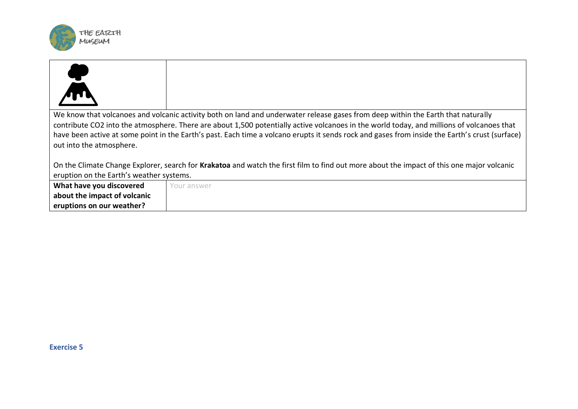

| We know that volcanoes and volcanic activity both on land and underwater release gases from deep within the Earth that naturally          |                                                                                                                                                |  |
|-------------------------------------------------------------------------------------------------------------------------------------------|------------------------------------------------------------------------------------------------------------------------------------------------|--|
| contribute CO2 into the atmosphere. There are about 1,500 potentially active volcanoes in the world today, and millions of volcanoes that |                                                                                                                                                |  |
|                                                                                                                                           | have been active at some point in the Earth's past. Each time a volcano erupts it sends rock and gases from inside the Earth's crust (surface) |  |
| out into the atmosphere.                                                                                                                  |                                                                                                                                                |  |
|                                                                                                                                           |                                                                                                                                                |  |
| On the Climate Change Explorer, search for Krakatoa and watch the first film to find out more about the impact of this one major volcanic |                                                                                                                                                |  |
| eruption on the Earth's weather systems.                                                                                                  |                                                                                                                                                |  |
| What have you discovered                                                                                                                  | Your answer                                                                                                                                    |  |
| about the impact of volcanic                                                                                                              |                                                                                                                                                |  |
| eruptions on our weather?                                                                                                                 |                                                                                                                                                |  |